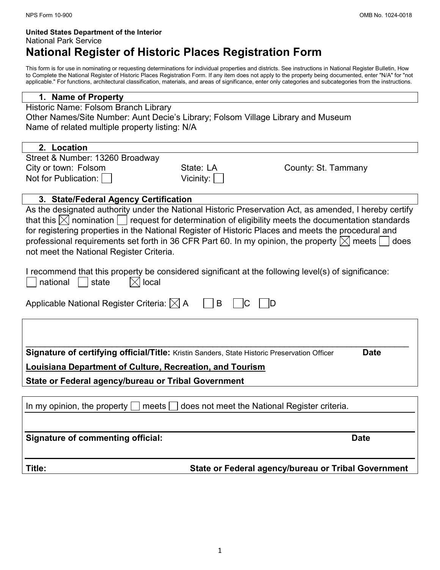# United States Department of the Interior National Park Service National Register of Historic Places Registration Form

This form is for use in nominating or requesting determinations for individual properties and districts. See instructions in National Register Bulletin, How to Complete the National Register of Historic Places Registration Form. If any item does not apply to the property being documented, enter "N/A" for "not applicable." For functions, architectural classification, materials, and areas of significance, enter only categories and subcategories from the instructions.

#### 1. Name of Property

| Historic Name: Folsom Branch Library                                             |
|----------------------------------------------------------------------------------|
| Other Names/Site Number: Aunt Decie's Library; Folsom Village Library and Museum |
| Name of related multiple property listing: N/A                                   |

# 2. Location

| Street & Number: 13260 Broadway                                                                                                                                                                                                                                |             |                     |
|----------------------------------------------------------------------------------------------------------------------------------------------------------------------------------------------------------------------------------------------------------------|-------------|---------------------|
| City or town: Folsom                                                                                                                                                                                                                                           | State: LA   | County: St. Tammany |
| Not for Publication:                                                                                                                                                                                                                                           | Vicinity: I |                     |
|                                                                                                                                                                                                                                                                |             |                     |
| 3. State/Federal Agency Certification                                                                                                                                                                                                                          |             |                     |
| As the designated authority under the National Historic Preservation Act, as amended, I hereby certify                                                                                                                                                         |             |                     |
| that this $\boxtimes$ nomination $\Box$ request for determination of eligibility meets the documentation standards                                                                                                                                             |             |                     |
| for registering properties in the National Register of Historic Places and meets the procedural and<br>professional requirements set forth in 36 CFR Part 60. In my opinion, the property $\boxtimes$ meets $\Box$<br>not meet the National Register Criteria. |             | does                |
| I recommend that this property be considered significant at the following level(s) of significance:<br>national<br>local<br>state                                                                                                                              |             |                     |
| Applicable National Register Criteria: $\boxtimes$ A                                                                                                                                                                                                           | B           |                     |

| <b>Signature of certifying official/Title:</b> Kristin Sanders, State Historic Preservation Officer | <b>Date</b> |
|-----------------------------------------------------------------------------------------------------|-------------|
| Louisiana Department of Culture, Recreation, and Tourism                                            |             |

State or Federal agency/bureau or Tribal Government

| In my opinion, the property $\Box$ meets $\Box$ does not meet the National Register criteria. |                                                     |
|-----------------------------------------------------------------------------------------------|-----------------------------------------------------|
|                                                                                               |                                                     |
| Signature of commenting official:                                                             | <b>Date</b>                                         |
| Title:                                                                                        | State or Federal agency/bureau or Tribal Government |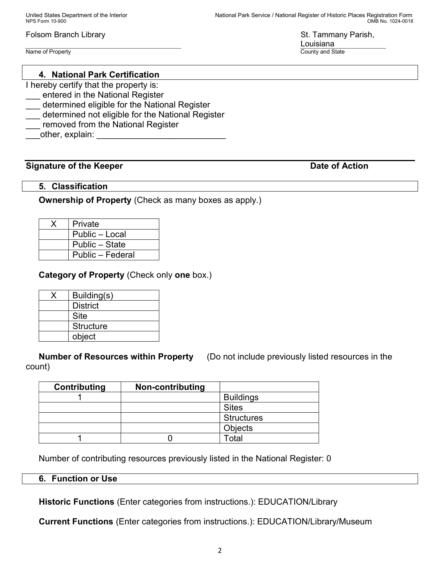Name of Property County and State County and State County and State County and State County and State County and State County and State County and State County and State County and State County and State County and State C

## 4. National Park Certification

- I hereby certify that the property is:
- entered in the National Register
- \_\_\_ determined eligible for the National Register
- determined not eligible for the National Register
- removed from the National Register
- other, explain:

### Signature of the Keeper **Date of Action**

### 5. Classification

### Ownership of Property (Check as many boxes as apply.)

| Private          |
|------------------|
| Public - Local   |
| Public – State   |
| Public - Federal |

## Category of Property (Check only one box.)

| Building(s)      |
|------------------|
| <b>District</b>  |
| <b>Site</b>      |
| <b>Structure</b> |
| object           |

Number of Resources within Property (Do not include previously listed resources in the count)

| Contributing | Non-contributing |                   |
|--------------|------------------|-------------------|
|              |                  | <b>Buildings</b>  |
|              |                  | <b>Sites</b>      |
|              |                  | <b>Structures</b> |
|              |                  | <b>Objects</b>    |
|              |                  | <sup>-</sup> otal |

Number of contributing resources previously listed in the National Register: 0

#### 6. Function or Use

Historic Functions (Enter categories from instructions.): EDUCATION/Library

Current Functions (Enter categories from instructions.): EDUCATION/Library/Museum

Louisiana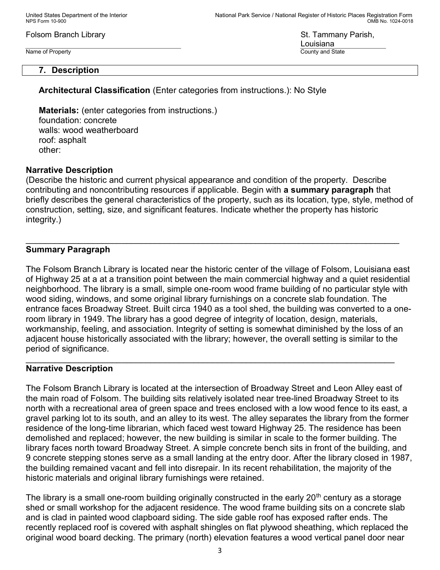Name of Property **County and State** 

Louisiana

### 7. Description

Architectural Classification (Enter categories from instructions.): No Style

Materials: (enter categories from instructions.) foundation: concrete walls: wood weatherboard roof: asphalt other:

### Narrative Description

(Describe the historic and current physical appearance and condition of the property. Describe contributing and noncontributing resources if applicable. Begin with a summary paragraph that briefly describes the general characteristics of the property, such as its location, type, style, method of construction, setting, size, and significant features. Indicate whether the property has historic integrity.)

\_\_\_\_\_\_\_\_\_\_\_\_\_\_\_\_\_\_\_\_\_\_\_\_\_\_\_\_\_\_\_\_\_\_\_\_\_\_\_\_\_\_\_\_\_\_\_\_\_\_\_\_\_\_\_\_\_\_\_\_\_\_\_\_\_\_\_\_\_\_\_\_\_\_\_\_\_\_

### Summary Paragraph

The Folsom Branch Library is located near the historic center of the village of Folsom, Louisiana east of Highway 25 at a at a transition point between the main commercial highway and a quiet residential neighborhood. The library is a small, simple one-room wood frame building of no particular style with wood siding, windows, and some original library furnishings on a concrete slab foundation. The entrance faces Broadway Street. Built circa 1940 as a tool shed, the building was converted to a oneroom library in 1949. The library has a good degree of integrity of location, design, materials, workmanship, feeling, and association. Integrity of setting is somewhat diminished by the loss of an adjacent house historically associated with the library; however, the overall setting is similar to the period of significance.

 $\mathcal{L}_\mathcal{L} = \mathcal{L}_\mathcal{L} = \mathcal{L}_\mathcal{L} = \mathcal{L}_\mathcal{L} = \mathcal{L}_\mathcal{L} = \mathcal{L}_\mathcal{L} = \mathcal{L}_\mathcal{L} = \mathcal{L}_\mathcal{L} = \mathcal{L}_\mathcal{L} = \mathcal{L}_\mathcal{L} = \mathcal{L}_\mathcal{L} = \mathcal{L}_\mathcal{L} = \mathcal{L}_\mathcal{L} = \mathcal{L}_\mathcal{L} = \mathcal{L}_\mathcal{L} = \mathcal{L}_\mathcal{L} = \mathcal{L}_\mathcal{L}$ 

#### Narrative Description

The Folsom Branch Library is located at the intersection of Broadway Street and Leon Alley east of the main road of Folsom. The building sits relatively isolated near tree-lined Broadway Street to its north with a recreational area of green space and trees enclosed with a low wood fence to its east, a gravel parking lot to its south, and an alley to its west. The alley separates the library from the former residence of the long-time librarian, which faced west toward Highway 25. The residence has been demolished and replaced; however, the new building is similar in scale to the former building. The library faces north toward Broadway Street. A simple concrete bench sits in front of the building, and 9 concrete stepping stones serve as a small landing at the entry door. After the library closed in 1987, the building remained vacant and fell into disrepair. In its recent rehabilitation, the majority of the historic materials and original library furnishings were retained.

The library is a small one-room building originally constructed in the early  $20<sup>th</sup>$  century as a storage shed or small workshop for the adjacent residence. The wood frame building sits on a concrete slab and is clad in painted wood clapboard siding. The side gable roof has exposed rafter ends. The recently replaced roof is covered with asphalt shingles on flat plywood sheathing, which replaced the original wood board decking. The primary (north) elevation features a wood vertical panel door near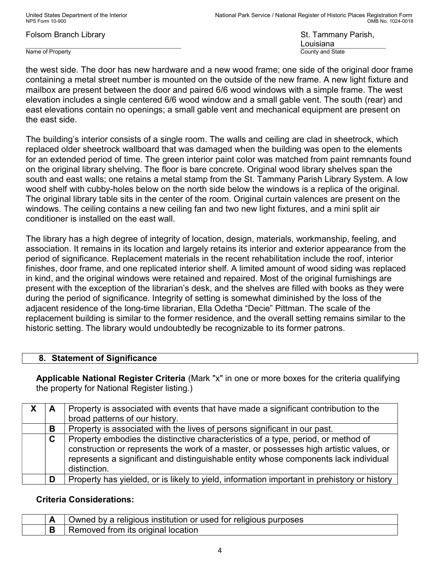Name of Property County and State County and State County and State

Louisiana

the west side. The door has new hardware and a new wood frame; one side of the original door frame containing a metal street number is mounted on the outside of the new frame. A new light fixture and mailbox are present between the door and paired 6/6 wood windows with a simple frame. The west elevation includes a single centered 6/6 wood window and a small gable vent. The south (rear) and east elevations contain no openings; a small gable vent and mechanical equipment are present on the east side.

The building's interior consists of a single room. The walls and ceiling are clad in sheetrock, which replaced older sheetrock wallboard that was damaged when the building was open to the elements for an extended period of time. The green interior paint color was matched from paint remnants found on the original library shelving. The floor is bare concrete. Original wood library shelves span the south and east walls; one retains a metal stamp from the St. Tammany Parish Library System. A low wood shelf with cubby-holes below on the north side below the windows is a replica of the original. The original library table sits in the center of the room. Original curtain valences are present on the windows. The ceiling contains a new ceiling fan and two new light fixtures, and a mini split air conditioner is installed on the east wall.

The library has a high degree of integrity of location, design, materials, workmanship, feeling, and association. It remains in its location and largely retains its interior and exterior appearance from the period of significance. Replacement materials in the recent rehabilitation include the roof, interior finishes, door frame, and one replicated interior shelf. A limited amount of wood siding was replaced in kind, and the original windows were retained and repaired. Most of the original furnishings are present with the exception of the librarian's desk, and the shelves are filled with books as they were during the period of significance. Integrity of setting is somewhat diminished by the loss of the adjacent residence of the long-time librarian, Ella Odetha "Decie" Pittman. The scale of the replacement building is similar to the former residence, and the overall setting remains similar to the historic setting. The library would undoubtedly be recognizable to its former patrons.

## 8. Statement of Significance

Applicable National Register Criteria (Mark "x" in one or more boxes for the criteria qualifying the property for National Register listing.)

| A | Property is associated with events that have made a significant contribution to the<br>broad patterns of our history.                                                                                                                                                               |
|---|-------------------------------------------------------------------------------------------------------------------------------------------------------------------------------------------------------------------------------------------------------------------------------------|
| В | Property is associated with the lives of persons significant in our past.                                                                                                                                                                                                           |
| C | Property embodies the distinctive characteristics of a type, period, or method of<br>construction or represents the work of a master, or possesses high artistic values, or<br>represents a significant and distinguishable entity whose components lack individual<br>distinction. |
| D | Property has yielded, or is likely to yield, information important in prehistory or history                                                                                                                                                                                         |

## Criteria Considerations:

|  | Owned by a religious institution or used for religious purposes |
|--|-----------------------------------------------------------------|
|  | . Removed from its original location                            |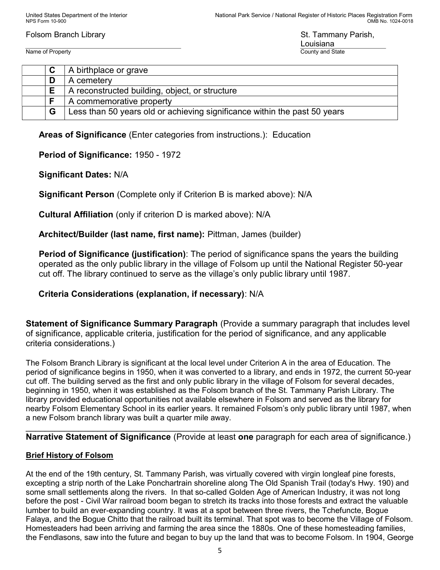Name of Property **County and State** 

Louisiana

| ັ | A birthplace or grave                                                     |
|---|---------------------------------------------------------------------------|
| D | A cemetery                                                                |
| Е | A reconstructed building, object, or structure                            |
|   | A commemorative property                                                  |
| G | Less than 50 years old or achieving significance within the past 50 years |

Areas of Significance (Enter categories from instructions.): Education

# Period of Significance: 1950 - 1972

# Significant Dates: N/A

Significant Person (Complete only if Criterion B is marked above): N/A

Cultural Affiliation (only if criterion D is marked above): N/A

# Architect/Builder (last name, first name): Pittman, James (builder)

Period of Significance (justification): The period of significance spans the years the building operated as the only public library in the village of Folsom up until the National Register 50-year cut off. The library continued to serve as the village's only public library until 1987.

# Criteria Considerations (explanation, if necessary): N/A

Statement of Significance Summary Paragraph (Provide a summary paragraph that includes level of significance, applicable criteria, justification for the period of significance, and any applicable criteria considerations.)

The Folsom Branch Library is significant at the local level under Criterion A in the area of Education. The period of significance begins in 1950, when it was converted to a library, and ends in 1972, the current 50-year cut off. The building served as the first and only public library in the village of Folsom for several decades, beginning in 1950, when it was established as the Folsom branch of the St. Tammany Parish Library. The library provided educational opportunities not available elsewhere in Folsom and served as the library for nearby Folsom Elementary School in its earlier years. It remained Folsom's only public library until 1987, when a new Folsom branch library was built a quarter mile away.

 $\mathcal{L}_\mathcal{L} = \mathcal{L}_\mathcal{L} = \mathcal{L}_\mathcal{L} = \mathcal{L}_\mathcal{L} = \mathcal{L}_\mathcal{L} = \mathcal{L}_\mathcal{L} = \mathcal{L}_\mathcal{L} = \mathcal{L}_\mathcal{L} = \mathcal{L}_\mathcal{L} = \mathcal{L}_\mathcal{L} = \mathcal{L}_\mathcal{L} = \mathcal{L}_\mathcal{L} = \mathcal{L}_\mathcal{L} = \mathcal{L}_\mathcal{L} = \mathcal{L}_\mathcal{L} = \mathcal{L}_\mathcal{L} = \mathcal{L}_\mathcal{L}$ Narrative Statement of Significance (Provide at least one paragraph for each area of significance.)

## Brief History of Folsom

At the end of the 19th century, St. Tammany Parish, was virtually covered with virgin longleaf pine forests, excepting a strip north of the Lake Ponchartrain shoreline along The Old Spanish Trail (today's Hwy. 190) and some small settlements along the rivers. In that so-called Golden Age of American Industry, it was not long before the post - Civil War railroad boom began to stretch its tracks into those forests and extract the valuable lumber to build an ever-expanding country. It was at a spot between three rivers, the Tchefuncte, Bogue Falaya, and the Bogue Chitto that the railroad built its terminal. That spot was to become the Village of Folsom. Homesteaders had been arriving and farming the area since the 1880s. One of these homesteading families, the Fendlasons, saw into the future and began to buy up the land that was to become Folsom. In 1904, George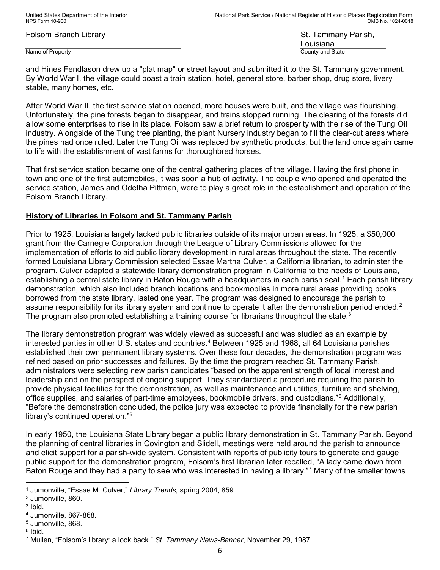Name of Property **County and State** 

Louisiana

and Hines Fendlason drew up a "plat map" or street layout and submitted it to the St. Tammany government. By World War I, the village could boast a train station, hotel, general store, barber shop, drug store, livery stable, many homes, etc.

After World War II, the first service station opened, more houses were built, and the village was flourishing. Unfortunately, the pine forests began to disappear, and trains stopped running. The clearing of the forests did allow some enterprises to rise in its place. Folsom saw a brief return to prosperity with the rise of the Tung Oil industry. Alongside of the Tung tree planting, the plant Nursery industry began to fill the clear-cut areas where the pines had once ruled. Later the Tung Oil was replaced by synthetic products, but the land once again came to life with the establishment of vast farms for thoroughbred horses.

That first service station became one of the central gathering places of the village. Having the first phone in town and one of the first automobiles, it was soon a hub of activity. The couple who opened and operated the service station, James and Odetha Pittman, were to play a great role in the establishment and operation of the Folsom Branch Library.

## History of Libraries in Folsom and St. Tammany Parish

Prior to 1925, Louisiana largely lacked public libraries outside of its major urban areas. In 1925, a \$50,000 grant from the Carnegie Corporation through the League of Library Commissions allowed for the implementation of efforts to aid public library development in rural areas throughout the state. The recently formed Louisiana Library Commission selected Essae Martha Culver, a California librarian, to administer the program. Culver adapted a statewide library demonstration program in California to the needs of Louisiana, establishing a central state library in Baton Rouge with a headquarters in each parish seat.<sup>1</sup> Each parish library demonstration, which also included branch locations and bookmobiles in more rural areas providing books borrowed from the state library, lasted one year. The program was designed to encourage the parish to assume responsibility for its library system and continue to operate it after the demonstration period ended.<sup>2</sup> The program also promoted establishing a training course for librarians throughout the state.<sup>3</sup>

The library demonstration program was widely viewed as successful and was studied as an example by interested parties in other U.S. states and countries.<sup>4</sup> Between 1925 and 1968, all 64 Louisiana parishes established their own permanent library systems. Over these four decades, the demonstration program was refined based on prior successes and failures. By the time the program reached St. Tammany Parish, administrators were selecting new parish candidates "based on the apparent strength of local interest and leadership and on the prospect of ongoing support. They standardized a procedure requiring the parish to provide physical facilities for the demonstration, as well as maintenance and utilities, furniture and shelving, office supplies, and salaries of part-time employees, bookmobile drivers, and custodians."<sup>5</sup> Additionally, "Before the demonstration concluded, the police jury was expected to provide financially for the new parish library's continued operation."<sup>6</sup>

In early 1950, the Louisiana State Library began a public library demonstration in St. Tammany Parish. Beyond the planning of central libraries in Covington and Slidell, meetings were held around the parish to announce and elicit support for a parish-wide system. Consistent with reports of publicity tours to generate and gauge public support for the demonstration program, Folsom's first librarian later recalled, "A lady came down from Baton Rouge and they had a party to see who was interested in having a library."<sup>7</sup> Many of the smaller towns

<sup>&</sup>lt;sup>1</sup> Jumonville, "Essae M. Culver," Library Trends, spring 2004, 859.

<sup>2</sup> Jumonville, 860.

 $3$  lbid.

<sup>4</sup> Jumonville, 867-868.

<sup>5</sup> Jumonville, 868.

<sup>&</sup>lt;sup>6</sup> Ibid.

<sup>&</sup>lt;sup>7</sup> Mullen, "Folsom's library: a look back." *St. Tammany News-Banner*, November 29, 1987.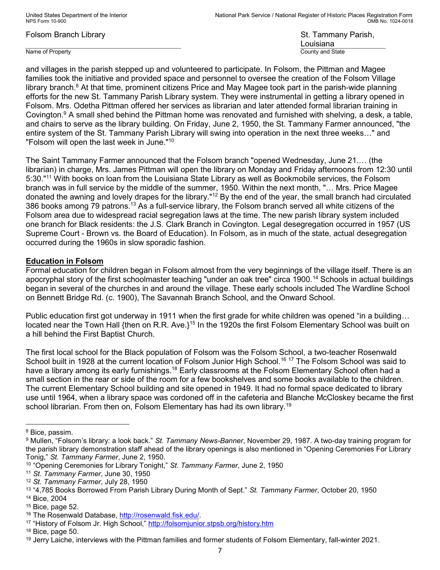Name of Property County and State County and State County and State

Louisiana

and villages in the parish stepped up and volunteered to participate. In Folsom, the Pittman and Magee families took the initiative and provided space and personnel to oversee the creation of the Folsom Village library branch.<sup>8</sup> At that time, prominent citizens Price and May Magee took part in the parish-wide planning efforts for the new St. Tammany Parish Library system. They were instrumental in getting a library opened in Folsom. Mrs. Odetha Pittman offered her services as librarian and later attended formal librarian training in Covington.<sup>9</sup> A small shed behind the Pittman home was renovated and furnished with shelving, a desk, a table, and chairs to serve as the library building. On Friday, June 2, 1950, the St. Tammany Farmer announced, "the entire system of the St. Tammany Parish Library will swing into operation in the next three weeks…" and "Folsom will open the last week in June."<sup>10</sup>

The Saint Tammany Farmer announced that the Folsom branch "opened Wednesday, June 21.… (the librarian) in charge, Mrs. James Pittman will open the library on Monday and Friday afternoons from 12:30 until 5:30."<sup>11</sup> With books on loan from the Louisiana State Library as well as Bookmobile services, the Folsom branch was in full service by the middle of the summer, 1950. Within the next month, "… Mrs. Price Magee donated the awning and lovely drapes for the library."<sup>12</sup> By the end of the year, the small branch had circulated 386 books among 79 patrons.<sup>13</sup> As a full-service library, the Folsom branch served all white citizens of the Folsom area due to widespread racial segregation laws at the time. The new parish library system included one branch for Black residents: the J.S. Clark Branch in Covington. Legal desegregation occurred in 1957 (US Supreme Court - Brown vs. the Board of Education). In Folsom, as in much of the state, actual desegregation occurred during the 1960s in slow sporadic fashion.

#### Education in Folsom

Formal education for children began in Folsom almost from the very beginnings of the village itself. There is an apocryphal story of the first schoolmaster teaching "under an oak tree" circa 1900.<sup>14</sup> Schools in actual buildings began in several of the churches in and around the village. These early schools included The Wardline School on Bennett Bridge Rd. (c. 1900), The Savannah Branch School, and the Onward School.

Public education first got underway in 1911 when the first grade for white children was opened "in a building… located near the Town Hall {then on R.R. Ave.}<sup>15</sup> In the 1920s the first Folsom Elementary School was built on a hill behind the First Baptist Church.

The first local school for the Black population of Folsom was the Folsom School, a two-teacher Rosenwald School built in 1928 at the current location of Folsom Junior High School.<sup>16 17</sup> The Folsom School was said to have a library among its early furnishings.<sup>18</sup> Early classrooms at the Folsom Elementary School often had a small section in the rear or side of the room for a few bookshelves and some books available to the children. The current Elementary School building and site opened in 1949. It had no formal space dedicated to library use until 1964, when a library space was cordoned off in the cafeteria and Blanche McCloskey became the first school librarian. From then on, Folsom Elementary has had its own library. $^{19}$ 

 $\overline{a}$ 

<sup>8</sup> Bice, passim.

<sup>&</sup>lt;sup>9</sup> Mullen, "Folsom's library: a look back." *St. Tammany News-Banner*, November 29, 1987. A two-day training program for the parish library demonstration staff ahead of the library openings is also mentioned in "Opening Ceremonies For Library Tonig," St. Tammany Farmer, June 2, 1950.

<sup>&</sup>lt;sup>10</sup> "Opening Ceremonies for Library Tonight," St. Tammany Farmer, June 2, 1950

<sup>&</sup>lt;sup>11</sup> St. Tammany Farmer, June 30, 1950

<sup>&</sup>lt;sup>12</sup> St. Tammany Farmer, July 28, 1950

<sup>&</sup>lt;sup>13</sup> "4,785 Books Borrowed From Parish Library During Month of Sept." St. Tammany Farmer, October 20, 1950 <sup>14</sup> Bice, 2004

<sup>15</sup> Bice, page 52.

<sup>16</sup> The Rosenwald Database, http://rosenwald.fisk.edu/.

<sup>17</sup> "History of Folsom Jr. High School," http://folsomjunior.stpsb.org/history.htm

 $18$  Bice, page 50.

<sup>19</sup> Jerry Laiche, interviews with the Pittman families and former students of Folsom Elementary, fall-winter 2021.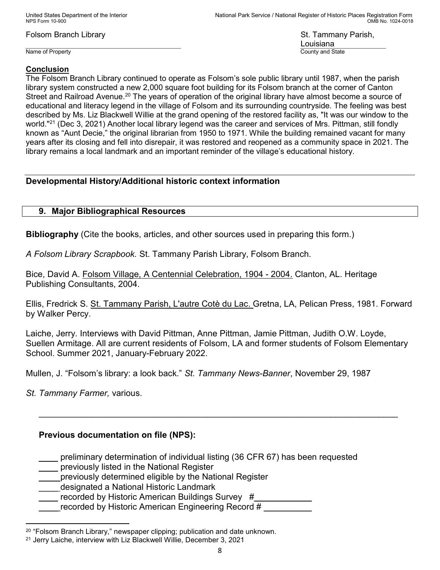United States Department of the Interior National Park Service / National Register of Historic Places Registration Form NPS Form 10-900 OMB No. 1024-0018

Folsom Branch Library St. Tammany Parish,

Name of Property County and State County and State County and State

Louisiana

### Conclusion

The Folsom Branch Library continued to operate as Folsom's sole public library until 1987, when the parish library system constructed a new 2,000 square foot building for its Folsom branch at the corner of Canton Street and Railroad Avenue.<sup>20</sup> The years of operation of the original library have almost become a source of educational and literacy legend in the village of Folsom and its surrounding countryside. The feeling was best described by Ms. Liz Blackwell Willie at the grand opening of the restored facility as, "It was our window to the world."<sup>21</sup> (Dec 3, 2021) Another local library legend was the career and services of Mrs. Pittman, still fondly known as "Aunt Decie," the original librarian from 1950 to 1971. While the building remained vacant for many years after its closing and fell into disrepair, it was restored and reopened as a community space in 2021. The library remains a local landmark and an important reminder of the village's educational history.

# Developmental History/Additional historic context information

## 9. Major Bibliographical Resources

Bibliography (Cite the books, articles, and other sources used in preparing this form.)

A Folsom Library Scrapbook. St. Tammany Parish Library, Folsom Branch.

Bice, David A. Folsom Village, A Centennial Celebration, 1904 - 2004. Clanton, AL. Heritage Publishing Consultants, 2004.

Ellis, Fredrick S. St. Tammany Parish, L'autre Cotè du Lac. Gretna, LA, Pelican Press, 1981. Forward by Walker Percy.

Laiche, Jerry. Interviews with David Pittman, Anne Pittman, Jamie Pittman, Judith O.W. Loyde, Suellen Armitage. All are current residents of Folsom, LA and former students of Folsom Elementary School. Summer 2021, January-February 2022.

\_\_\_\_\_\_\_\_\_\_\_\_\_\_\_\_\_\_\_\_\_\_\_\_\_\_\_\_\_\_\_\_\_\_\_\_\_\_\_\_\_\_\_\_\_\_\_\_\_\_\_\_\_\_\_\_\_\_\_\_\_\_\_\_\_\_\_\_\_\_\_\_\_\_\_

Mullen, J. "Folsom's library: a look back." St. Tammany News-Banner, November 29, 1987

St. Tammany Farmer, various.

 $\overline{a}$ 

# Previous documentation on file (NPS):

\_\_\_\_ preliminary determination of individual listing (36 CFR 67) has been requested

previously listed in the National Register

\_\_\_\_ previously determined eligible by the National Register

designated a National Historic Landmark

recorded by Historic American Buildings Survey #

recorded by Historic American Engineering Record #

 $20$  "Folsom Branch Library," newspaper clipping; publication and date unknown.

<sup>21</sup> Jerry Laiche, interview with Liz Blackwell Willie, December 3, 2021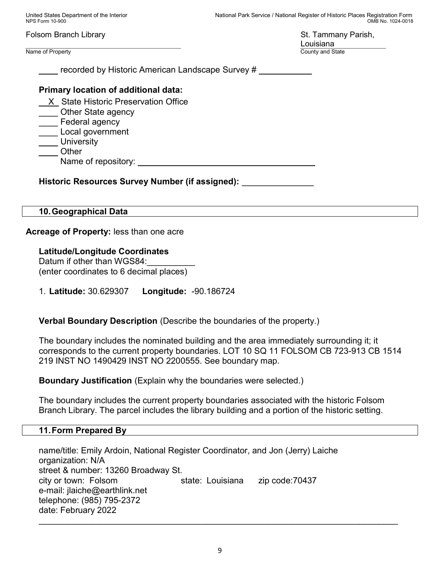United States Department of the Interior National Park Service / National Register of Historic Places Registration Form NPS Form 10-900 OMB No. 1024-0018 Folsom Branch Library St. Tammany Parish, Louisiana Name of Property **County and State** recorded by Historic American Landscape Survey # Primary location of additional data: \_\_X\_ State Historic Preservation Office \_\_\_\_ Other State agency \_\_\_\_ Federal agency \_\_\_\_ Local government **University** \_\_\_\_ Other Name of repository: \_\_\_\_\_\_\_\_\_\_\_\_\_\_\_\_\_\_\_\_\_\_\_\_\_\_\_\_\_\_\_\_\_\_\_\_\_ Historic Resources Survey Number (if assigned): 10. Geographical Data

Acreage of Property: less than one acre

Latitude/Longitude Coordinates Datum if other than WGS84: (enter coordinates to 6 decimal places)

1. Latitude: 30.629307 Longitude: -90.186724

Verbal Boundary Description (Describe the boundaries of the property.)

The boundary includes the nominated building and the area immediately surrounding it; it corresponds to the current property boundaries. LOT 10 SQ 11 FOLSOM CB 723-913 CB 1514 219 INST NO 1490429 INST NO 2200555. See boundary map.

Boundary Justification (Explain why the boundaries were selected.)

The boundary includes the current property boundaries associated with the historic Folsom Branch Library. The parcel includes the library building and a portion of the historic setting.

## 11. Form Prepared By

name/title: Emily Ardoin, National Register Coordinator, and Jon (Jerry) Laiche organization: N/A street & number: 13260 Broadway St. city or town: Folsom state: Louisiana zip code:70437 e-mail: jlaiche@earthlink.net telephone: (985) 795-2372 date: February 2022

\_\_\_\_\_\_\_\_\_\_\_\_\_\_\_\_\_\_\_\_\_\_\_\_\_\_\_\_\_\_\_\_\_\_\_\_\_\_\_\_\_\_\_\_\_\_\_\_\_\_\_\_\_\_\_\_\_\_\_\_\_\_\_\_\_\_\_\_\_\_\_\_\_\_\_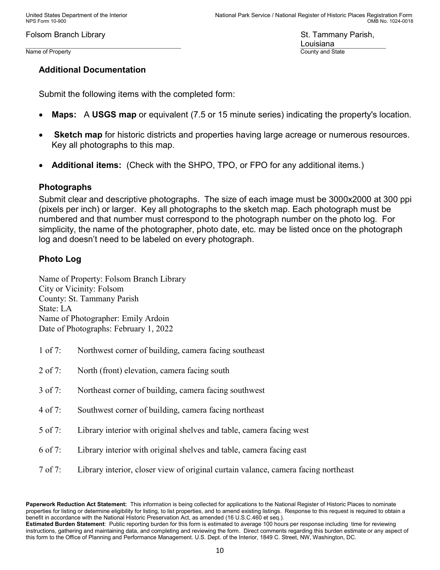Louisiana Name of Property County and State County and State County and State

# Additional Documentation

Submit the following items with the completed form:

- Maps: A USGS map or equivalent (7.5 or 15 minute series) indicating the property's location.
- **Sketch map** for historic districts and properties having large acreage or numerous resources. Key all photographs to this map.
- Additional items: (Check with the SHPO, TPO, or FPO for any additional items.)

# Photographs

Submit clear and descriptive photographs. The size of each image must be 3000x2000 at 300 ppi (pixels per inch) or larger. Key all photographs to the sketch map. Each photograph must be numbered and that number must correspond to the photograph number on the photo log. For simplicity, the name of the photographer, photo date, etc. may be listed once on the photograph log and doesn't need to be labeled on every photograph.

# Photo Log

Name of Property: Folsom Branch Library City or Vicinity: Folsom County: St. Tammany Parish State: LA Name of Photographer: Emily Ardoin Date of Photographs: February 1, 2022

- 1 of 7: Northwest corner of building, camera facing southeast
- 2 of 7: North (front) elevation, camera facing south
- 3 of 7: Northeast corner of building, camera facing southwest
- 4 of 7: Southwest corner of building, camera facing northeast
- 5 of 7: Library interior with original shelves and table, camera facing west
- 6 of 7: Library interior with original shelves and table, camera facing east
- 7 of 7: Library interior, closer view of original curtain valance, camera facing northeast

Paperwork Reduction Act Statement: This information is being collected for applications to the National Register of Historic Places to nominate properties for listing or determine eligibility for listing, to list properties, and to amend existing listings. Response to this request is required to obtain a benefit in accordance with the National Historic Preservation Act, as amended (16 U.S.C.460 et seq.). Estimated Burden Statement: Public reporting burden for this form is estimated to average 100 hours per response including time for reviewing instructions, gathering and maintaining data, and completing and reviewing the form. Direct comments regarding this burden estimate or any aspect of this form to the Office of Planning and Performance Management. U.S. Dept. of the Interior, 1849 C. Street, NW, Washington, DC.